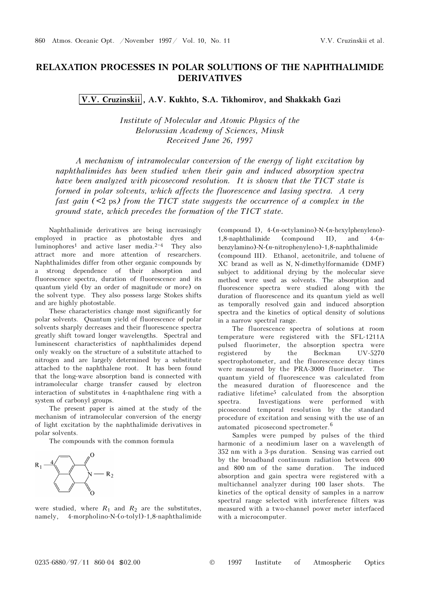## RELAXATION PROCESSES IN POLAR SOLUTIONS OF THE NAPHTHALIMIDE DERIVATIVES

V.V. Cruzinskii , A.V. Kukhto, S.A. Tikhomirov, and Shakkakh Gazi

Institute of Molecular and Atomic Physics of the Belorussian Academy of Sciences, Minsk Received June 26, 1997

A mechanism of intramolecular conversion of the energy of light excitation by naphthalimides has been studied when their gain and induced absorption spectra have been analyzed with picosecond resolution. It is shown that the TICT state is formed in polar solvents, which affects the fluorescence and lasing spectra. A very fast gain  $(\leq 2 \text{ ps})$  from the TICT state suggests the occurrence of a complex in the ground state, which precedes the formation of the TICT state.

Naphthalimide derivatives are being increasingly employed in practice as photostable dyes and luminophores<sup>1</sup> and active laser media.<sup>2-4</sup> They also attract more and more attention of researchers. Naphthalimides differ from other organic compounds by a strong dependence of their absorption and fluorescence spectra, duration of fluorescence and its quantum yield (by an order of magnitude or more) on the solvent type. They also possess large Stokes shifts and are highly photostable.

These characteristics change most significantly for polar solvents. Quantum yield of fluorescence of polar solvents sharply decreases and their fluorescence spectra greatly shift toward longer wavelengths. Spectral and luminescent characteristics of naphthalimides depend only weakly on the structure of a substitute attached to nitrogen and are largely determined by a substitute attached to the naphthalene root. It has been found that the long-wave absorption band is connected with intramolecular charge transfer caused by electron interaction of substitutes in 4-naphthalene ring with a system of carbonyl groups.

The present paper is aimed at the study of the mechanism of intramolecular conversion of the energy of light excitation by the naphthalimide derivatives in polar solvents.

The compounds with the common formula



were studied, where  $R_1$  and  $R_2$  are the substitutes, namely, 4-morpholino-N-(o-tolyl)-1,8-naphthalimide

(compound I),  $4-(n-octv lamino) - N-(n-hexv lphen v leno) -$ 1,8-naphthalimide (compound II), and  $4-(n$ benzylamino)-N-(n-nitrophenyleno)-1,8-naphthalimide (compound III). Ethanol, acetonitrile, and toluene of XC brand as well as N, N-dimethylformamide (DMF) subject to additional drying by the molecular sieve method were used as solvents. The absorption and fluorescence spectra were studied along with the duration of fluorescence and its quantum yield as well as temporally resolved gain and induced absorption spectra and the kinetics of optical density of solutions in a narrow spectral range.

The fluorescence spectra of solutions at room temperature were registered with the SFL-1211A pulsed fluorimeter, the absorption spectra were registered by the Beckman UV-5270 spectrophotometer, and the fluorescence decay times were measured by the PRA-3000 fluorimeter. The quantum yield of fluorescence was calculated from the measured duration of fluorescence and the radiative lifetime<sup>5</sup> calculated from the absorption<br>spectra. Investigations were performed with Investigations were performed with picosecond temporal resolution by the standard procedure of excitation and sensing with the use of an automated picosecond spectrometer.6

Samples were pumped by pulses of the third harmonic of a neodimium laser on a wavelength of 352 nm with a 3-ps duration. Sensing was carried out by the broadband continuum radiation between 400 and 800 nm of the same duration. The induced absorption and gain spectra were registered with a multichannel analyzer during 100 laser shots. The kinetics of the optical density of samples in a narrow spectral range selected with interference filters was measured with a two-channel power meter interfaced with a microcomputer.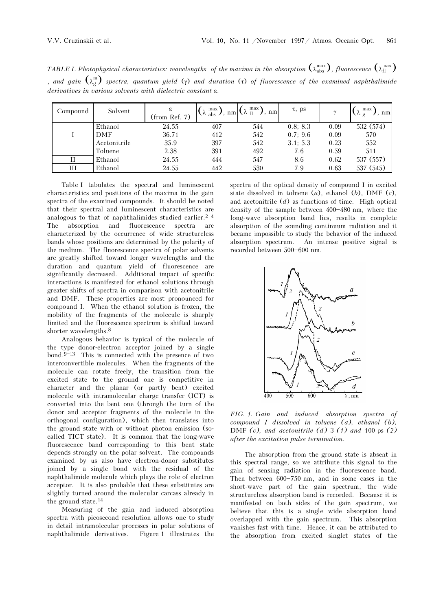TABLE I. Photophysical characteristics: wavelengths of the maxima in the absorption  $\binom{\lambda_{\text{abs}}}{\lambda_{\text{abs}}}$ , fluorescence  $\binom{\lambda_{\text{max}}}{\lambda_{\text{fl}}}$ , and gain  $(\lambda_g^m)$  spectra, quantum yield (γ) and duration (τ) of fluorescence of the examined naphthalimide derivatives in various solvents with dielectric constant ε.

| Compound | Solvent      | ε<br>$(from$ Ref. $7)$ | max <sup>1</sup><br>$\lambda$ abs $\lambda$ , | max<br>nm<br>$nm \vee f$ | $\tau$ , ps |      | max<br>$\rm{nm}$ |
|----------|--------------|------------------------|-----------------------------------------------|--------------------------|-------------|------|------------------|
|          | Ethanol      | 24.55                  | 407                                           | 544                      | 0.8; 8.3    | 0.09 | 532 (574)        |
|          | DMF          | 36.71                  | 412                                           | 542                      | 0.7; 9.6    | 0.09 | 570              |
|          | Acetonitrile | 35.9                   | 397                                           | 542                      | 3.1: 5.3    | 0.23 | 552              |
|          | Toluene      | 2.38                   | 391                                           | 492                      | 7.6         | 0.59 | 511              |
| П        | Ethanol      | 24.55                  | 444                                           | 547                      | 8.6         | 0.62 | 537 (557)        |
| Ш        | Ethanol      | 24.55                  | 442                                           | 530                      | 7.9         | 0.63 | 537 (545)        |

Table I tabulates the spectral and luminescent characteristics and positions of the maxima in the gain spectra of the examined compounds. It should be noted that their spectral and luminescent characteristics are analogous to that of naphthalimides studied earlier.<sup>2-4</sup><br>The absorption and fluorescence spectra are fluorescence characterized by the occurrence of wide structureless bands whose positions are determined by the polarity of the medium. The fluorescence spectra of polar solvents are greatly shifted toward longer wavelengths and the duration and quantum yield of fluorescence are significantly decreased. Additional impact of specific interactions is manifested for ethanol solutions through greater shifts of spectra in comparison with acetonitrile and DMF. These properties are most pronounced for compound I. When the ethanol solution is frozen, the mobility of the fragments of the molecule is sharply limited and the fluorescence spectrum is shifted toward shorter wavelengths.8

Analogous behavior is typical of the molecule of the type donor-electron acceptor joined by a single bond. $9-13$  This is connected with the presence of two interconvertible molecules. When the fragments of the molecule can rotate freely, the transition from the excited state to the ground one is competitive in character and the planar (or partly bent) excited molecule with intramolecular charge transfer (ICT) is converted into the bent one (through the turn of the donor and acceptor fragments of the molecule in the orthogonal configuration), which then translates into the ground state with or without photon emission (socalled TICT state). It is common that the long-wave fluorescence band corresponding to this bent state depends strongly on the polar solvent. The compounds examined by us also have electron-donor substitutes joined by a single bond with the residual of the naphthalimide molecule which plays the role of electron acceptor. It is also probable that these substitutes are slightly turned around the molecular carcass already in the ground state.14

Measuring of the gain and induced absorption spectra with picosecond resolution allows one to study in detail intramolecular processes in polar solutions of naphthalimide derivatives. Figure 1 illustrates the spectra of the optical density of compound I in excited state dissolved in toluene  $(a)$ , ethanol  $(b)$ , DMF  $(c)$ , and acetonitrile  $(d)$  as functions of time. High optical density of the sample between  $400 - 480$  nm, where the long-wave absorption band lies, results in complete absorption of the sounding continuum radiation and it became impossible to study the behavior of the induced absorption spectrum. An intense positive signal is recorded between 500-600 nm.



FIG. 1. Gain and induced absorption spectra of compound I dissolved in toluene  $(a)$ , ethanol  $(b)$ , DMF  $(c)$ , and acetonitrile  $(d)$  3  $(1)$  and 100 ps  $(2)$ after the excitation pulse termination.

The absorption from the ground state is absent in this spectral range, so we attribute this signal to the gain of sensing radiation in the fluorescence band. Then between  $600-750$  nm, and in some cases in the short-wave part of the gain spectrum, the wide structureless absorption band is recorded. Because it is manifested on both sides of the gain spectrum, we believe that this is a single wide absorption band overlapped with the gain spectrum. This absorption vanishes fast with time. Hence, it can be attributed to the absorption from excited singlet states of the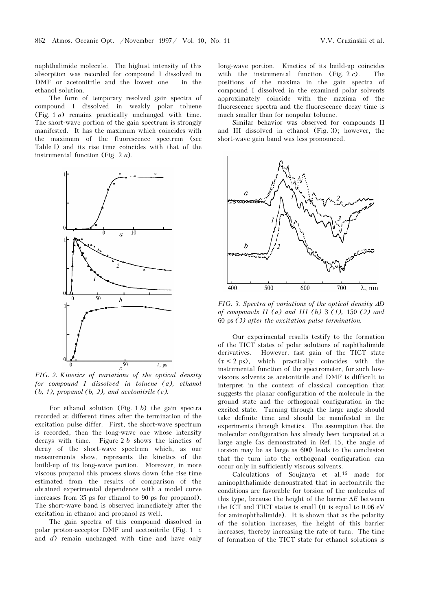naphthalimide molecule. The highest intensity of this absorption was recorded for compound I dissolved in DMF or acetonitrile and the lowest one  $-$  in the ethanol solution.

The form of temporary resolved gain spectra of compound I dissolved in weakly polar toluene (Fig. 1  $a$ ) remains practically unchanged with time. The short-wave portion of the gain spectrum is strongly manifested. It has the maximum which coincides with the maximum of the fluorescence spectrum (see Table I) and its rise time coincides with that of the instrumental function (Fig. 2  $a$ ).



FIG. 2. Kinetics of variations of the optical density for compound I dissolved in toluene  $(a)$ , ethanol  $(b, 1)$ , propanol  $(b, 2)$ , and acetonitrile  $(c)$ .

For ethanol solution (Fig. 1 b) the gain spectra recorded at different times after the termination of the excitation pulse differ. First, the short-wave spectrum is recorded, then the long-wave one whose intensity decays with time. Figure  $2 b$  shows the kinetics of decay of the short-wave spectrum which, as our measurements show, represents the kinetics of the build-up of its long-wave portion. Moreover, in more viscous propanol this process slows down (the rise time estimated from the results of comparison of the obtained experimental dependence with a model curve increases from 35 ps for ethanol to 90 ps for propanol). The short-wave band is observed immediately after the excitation in ethanol and propanol as well.

The gain spectra of this compound dissolved in polar proton-acceptor DMF and acetonitrile (Fig. 1 c and d) remain unchanged with time and have only

long-wave portion. Kinetics of its build-up coincides with the instrumental function (Fig. 2  $c$ ). The positions of the maxima in the gain spectra of compound I dissolved in the examined polar solvents approximately coincide with the maxima of the fluorescence spectra and the fluorescence decay time is much smaller than for nonpolar toluene.

Similar behavior was observed for compounds II and III dissolved in ethanol (Fig. 3); however, the short-wave gain band was less pronounced.



FIG. 3. Spectra of variations of the optical density ΔD of compounds  $II$  (a) and  $III$  (b) 3 (1), 150 (2) and 60 ps (3) after the excitation pulse termination.

Our experimental results testify to the formation of the TICT states of polar solutions of naphthalimide derivatives. However, fast gain of the TICT state  $(\tau < 2 \text{ ps})$ , which practically coincides with the instrumental function of the spectrometer, for such lowviscous solvents as acetonitrile and DMF is difficult to interpret in the context of classical conception that suggests the planar configuration of the molecule in the ground state and the orthogonal configuration in the excited state. Turning through the large angle should take definite time and should be manifested in the experiments through kinetics. The assumption that the molecular configuration has already been torquated at a large angle (as demonstrated in Ref. 15, the angle of torsion may be as large as 600) leads to the conclusion that the turn into the orthogonal configuration can occur only in sufficiently viscous solvents.

Calculations of Soujanya et al.16 made for aminophthalimide demonstrated that in acetonitrile the conditions are favorable for torsion of the molecules of this type, because the height of the barrier  $\Delta E$  between the ICT and TICT states is small (it is equal to 0.06 eV for aminophthalimide). It is shown that as the polarity of the solution increases, the height of this barrier increases, thereby increasing the rate of turn. The time of formation of the TICT state for ethanol solutions is